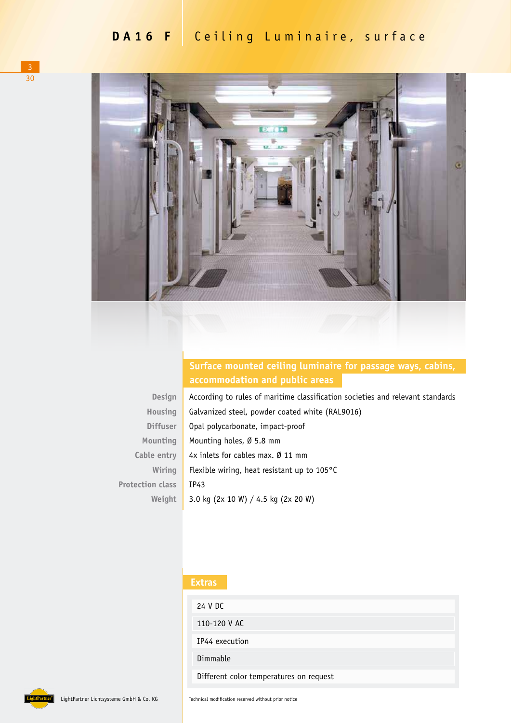

### **Surface mounted ceiling luminaire for passage ways, cabins, accommodation and public areas**

| <b>DESIGHT</b>          |
|-------------------------|
| Housing                 |
| Diffuser                |
| Mounting                |
| Cable entry             |
| Wiring                  |
| <b>Protection class</b> |
| Weight                  |

**Design**

According to rules of maritime classification societies and relevant standards Galvanized steel, powder coated white (RAL9016) Opal polycarbonate, impact-proof Mounting holes, Ø 5.8 mm 4x inlets for cables max. Ø 11 mm Flexible wiring, heat resistant up to 105°C IP43 3.0 kg (2x 10 W) / 4.5 kg (2x 20 W)

#### **Extras**

| 24 V DC                                 |
|-----------------------------------------|
| 110-120 V AC                            |
| IP44 execution                          |
| Dimmable                                |
| Different color temperatures on request |